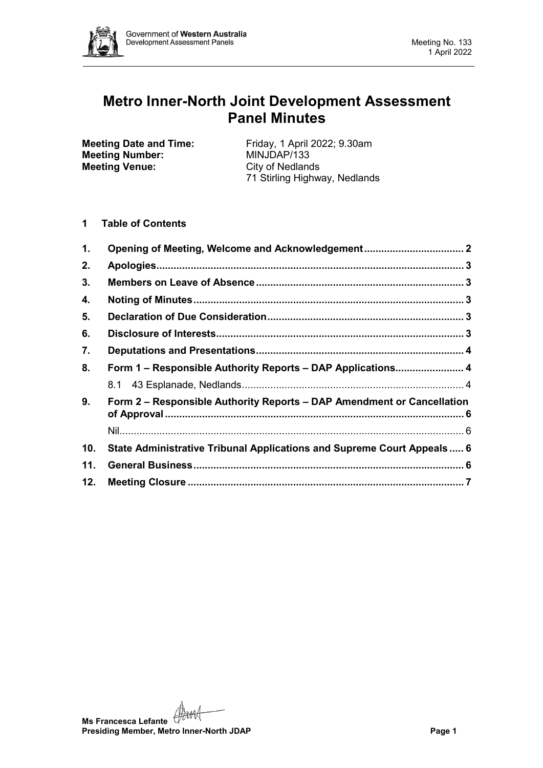

# **Metro Inner-North Joint Development Assessment Panel Minutes**

**Meeting Number: Meeting Venue:** City of Nedlands

**Meeting Date and Time:** Friday, 1 April 2022; 9.30am<br> **Meeting Number:** MINJDAP/133 71 Stirling Highway, Nedlands

## **1 Table of Contents**

| 1.  | Opening of Meeting, Welcome and Acknowledgement 2                       |  |
|-----|-------------------------------------------------------------------------|--|
| 2.  |                                                                         |  |
| 3.  |                                                                         |  |
| 4.  |                                                                         |  |
| 5.  |                                                                         |  |
| 6.  |                                                                         |  |
| 7.  |                                                                         |  |
| 8.  | Form 1 - Responsible Authority Reports - DAP Applications 4             |  |
|     |                                                                         |  |
| 9.  | Form 2 - Responsible Authority Reports - DAP Amendment or Cancellation  |  |
|     |                                                                         |  |
| 10. | State Administrative Tribunal Applications and Supreme Court Appeals  6 |  |
| 11. |                                                                         |  |
| 12. |                                                                         |  |

**Ms Francesca Lefante** (1) **Presiding Member, Metro Inner-North JDAP Page 1**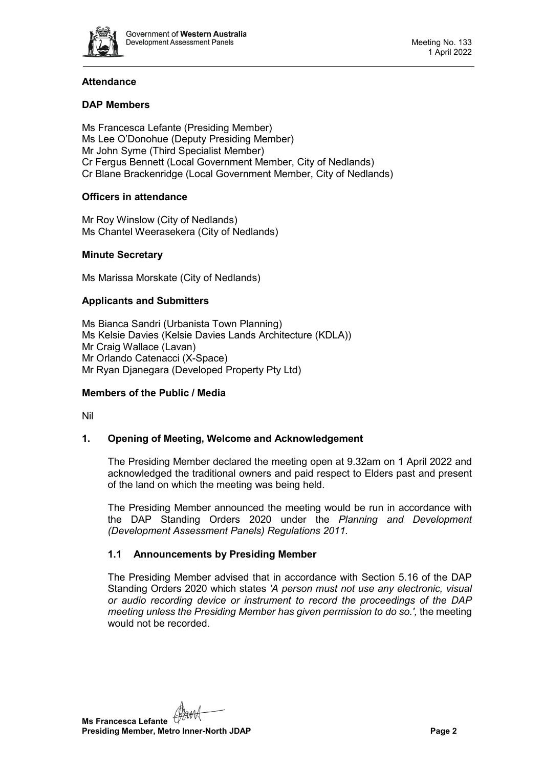

## **Attendance**

## **DAP Members**

Ms Francesca Lefante (Presiding Member) Ms Lee O'Donohue (Deputy Presiding Member) Mr John Syme (Third Specialist Member) Cr Fergus Bennett (Local Government Member, City of Nedlands) Cr Blane Brackenridge (Local Government Member, City of Nedlands)

#### **Officers in attendance**

Mr Roy Winslow (City of Nedlands) Ms Chantel Weerasekera (City of Nedlands)

## **Minute Secretary**

Ms Marissa Morskate (City of Nedlands)

## **Applicants and Submitters**

Ms Bianca Sandri (Urbanista Town Planning) Ms Kelsie Davies (Kelsie Davies Lands Architecture (KDLA)) Mr Craig Wallace (Lavan) Mr Orlando Catenacci (X-Space) Mr Ryan Djanegara (Developed Property Pty Ltd)

#### **Members of the Public / Media**

<span id="page-1-0"></span>Nil

#### **1. Opening of Meeting, Welcome and Acknowledgement**

The Presiding Member declared the meeting open at 9.32am on 1 April 2022 and acknowledged the traditional owners and paid respect to Elders past and present of the land on which the meeting was being held.

The Presiding Member announced the meeting would be run in accordance with the DAP Standing Orders 2020 under the *Planning and Development (Development Assessment Panels) Regulations 2011.*

#### **1.1 Announcements by Presiding Member**

The Presiding Member advised that in accordance with Section 5.16 of the DAP Standing Orders 2020 which states *'A person must not use any electronic, visual or audio recording device or instrument to record the proceedings of the DAP meeting unless the Presiding Member has given permission to do so.',* the meeting would not be recorded.

**Ms Francesca Lefante Presiding Member, Metro Inner-North JDAP Page 2**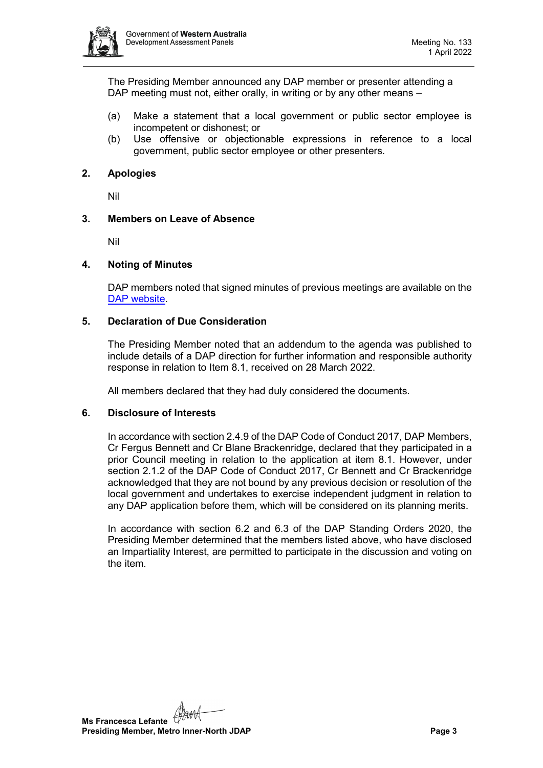

The Presiding Member announced any DAP member or presenter attending a DAP meeting must not, either orally, in writing or by any other means –

- (a) Make a statement that a local government or public sector employee is incompetent or dishonest; or
- (b) Use offensive or objectionable expressions in reference to a local government, public sector employee or other presenters.

#### <span id="page-2-0"></span>**2. Apologies**

Nil

#### <span id="page-2-1"></span>**3. Members on Leave of Absence**

Nil

#### <span id="page-2-2"></span>**4. Noting of Minutes**

DAP members noted that signed minutes of previous meetings are available on the [DAP website.](https://www.dplh.wa.gov.au/about/development-assessment-panels/daps-agendas-and-minutes)

#### <span id="page-2-3"></span>**5. Declaration of Due Consideration**

The Presiding Member noted that an addendum to the agenda was published to include details of a DAP direction for further information and responsible authority response in relation to Item 8.1, received on 28 March 2022.

All members declared that they had duly considered the documents.

#### <span id="page-2-4"></span>**6. Disclosure of Interests**

In accordance with section 2.4.9 of the DAP Code of Conduct 2017, DAP Members, Cr Fergus Bennett and Cr Blane Brackenridge, declared that they participated in a prior Council meeting in relation to the application at item 8.1. However, under section 2.1.2 of the DAP Code of Conduct 2017, Cr Bennett and Cr Brackenridge acknowledged that they are not bound by any previous decision or resolution of the local government and undertakes to exercise independent judgment in relation to any DAP application before them, which will be considered on its planning merits.

In accordance with section 6.2 and 6.3 of the DAP Standing Orders 2020, the Presiding Member determined that the members listed above, who have disclosed an Impartiality Interest, are permitted to participate in the discussion and voting on the item.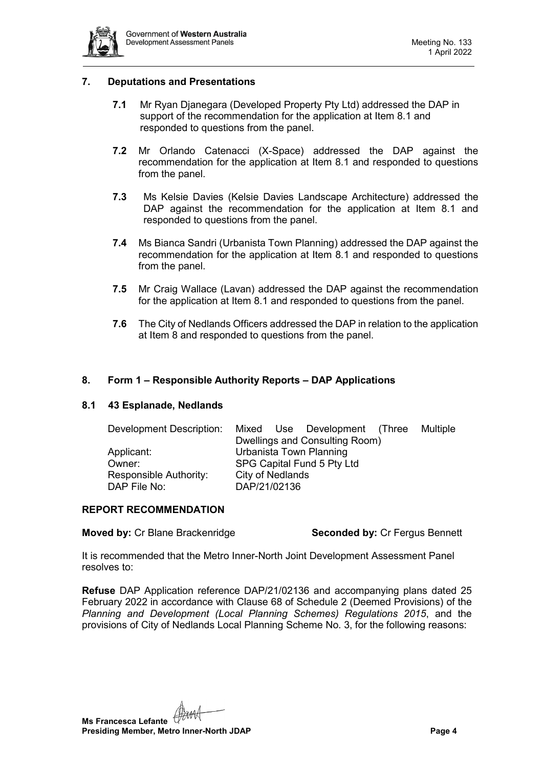

#### <span id="page-3-0"></span>**7. Deputations and Presentations**

- **7.1** Mr Ryan Djanegara (Developed Property Pty Ltd) addressed the DAP in support of the recommendation for the application at Item 8.1 and responded to questions from the panel.
- **7.2** Mr Orlando Catenacci (X-Space) addressed the DAP against the recommendation for the application at Item 8.1 and responded to questions from the panel.
- **7.3** Ms Kelsie Davies (Kelsie Davies Landscape Architecture) addressed the DAP against the recommendation for the application at Item 8.1 and responded to questions from the panel.
- **7.4** Ms Bianca Sandri (Urbanista Town Planning) addressed the DAP against the recommendation for the application at Item 8.1 and responded to questions from the panel.
- **7.5** Mr Craig Wallace (Lavan) addressed the DAP against the recommendation for the application at Item 8.1 and responded to questions from the panel.
- **7.6** The City of Nedlands Officers addressed the DAP in relation to the application at Item 8 and responded to questions from the panel.

#### <span id="page-3-1"></span>**8. Form 1 – Responsible Authority Reports – DAP Applications**

#### <span id="page-3-2"></span>**8.1 43 Esplanade, Nedlands**

| Development Description: | Mixed Use Development (Three   | Multiple |  |  |  |
|--------------------------|--------------------------------|----------|--|--|--|
|                          | Dwellings and Consulting Room) |          |  |  |  |
| Applicant:               | Urbanista Town Planning        |          |  |  |  |
| Owner:                   | SPG Capital Fund 5 Pty Ltd     |          |  |  |  |
| Responsible Authority:   | <b>City of Nedlands</b>        |          |  |  |  |
| DAP File No:             | DAP/21/02136                   |          |  |  |  |

#### **REPORT RECOMMENDATION**

**Moved by:** Cr Blane Brackenridge **Seconded by:** Cr Fergus Bennett

It is recommended that the Metro Inner-North Joint Development Assessment Panel resolves to:

**Refuse** DAP Application reference DAP/21/02136 and accompanying plans dated 25 February 2022 in accordance with Clause 68 of Schedule 2 (Deemed Provisions) of the *Planning and Development (Local Planning Schemes) Regulations 2015*, and the provisions of City of Nedlands Local Planning Scheme No. 3, for the following reasons:

**Ms Francesca Lefante Presiding Member, Metro Inner-North JDAP Page 4**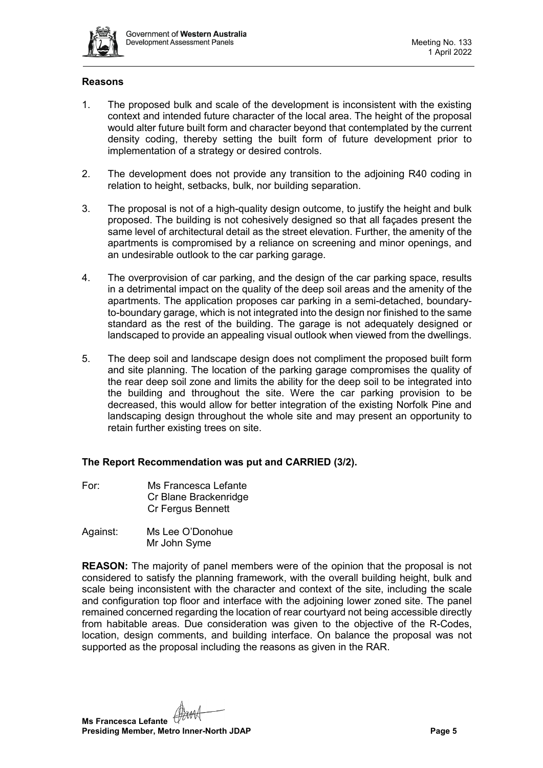

#### **Reasons**

- 1. The proposed bulk and scale of the development is inconsistent with the existing context and intended future character of the local area. The height of the proposal would alter future built form and character beyond that contemplated by the current density coding, thereby setting the built form of future development prior to implementation of a strategy or desired controls.
- 2. The development does not provide any transition to the adjoining R40 coding in relation to height, setbacks, bulk, nor building separation.
- 3. The proposal is not of a high-quality design outcome, to justify the height and bulk proposed. The building is not cohesively designed so that all façades present the same level of architectural detail as the street elevation. Further, the amenity of the apartments is compromised by a reliance on screening and minor openings, and an undesirable outlook to the car parking garage.
- 4. The overprovision of car parking, and the design of the car parking space, results in a detrimental impact on the quality of the deep soil areas and the amenity of the apartments. The application proposes car parking in a semi-detached, boundaryto-boundary garage, which is not integrated into the design nor finished to the same standard as the rest of the building. The garage is not adequately designed or landscaped to provide an appealing visual outlook when viewed from the dwellings.
- 5. The deep soil and landscape design does not compliment the proposed built form and site planning. The location of the parking garage compromises the quality of the rear deep soil zone and limits the ability for the deep soil to be integrated into the building and throughout the site. Were the car parking provision to be decreased, this would allow for better integration of the existing Norfolk Pine and landscaping design throughout the whole site and may present an opportunity to retain further existing trees on site.

#### **The Report Recommendation was put and CARRIED (3/2).**

- For: Ms Francesca Lefante Cr Blane Brackenridge Cr Fergus Bennett
- Against: Ms Lee O'Donohue Mr John Syme

**REASON:** The majority of panel members were of the opinion that the proposal is not considered to satisfy the planning framework, with the overall building height, bulk and scale being inconsistent with the character and context of the site, including the scale and configuration top floor and interface with the adjoining lower zoned site. The panel remained concerned regarding the location of rear courtyard not being accessible directly from habitable areas. Due consideration was given to the objective of the R-Codes, location, design comments, and building interface. On balance the proposal was not supported as the proposal including the reasons as given in the RAR.

**Ms Francesca Lefante Presiding Member, Metro Inner-North JDAP Page 5**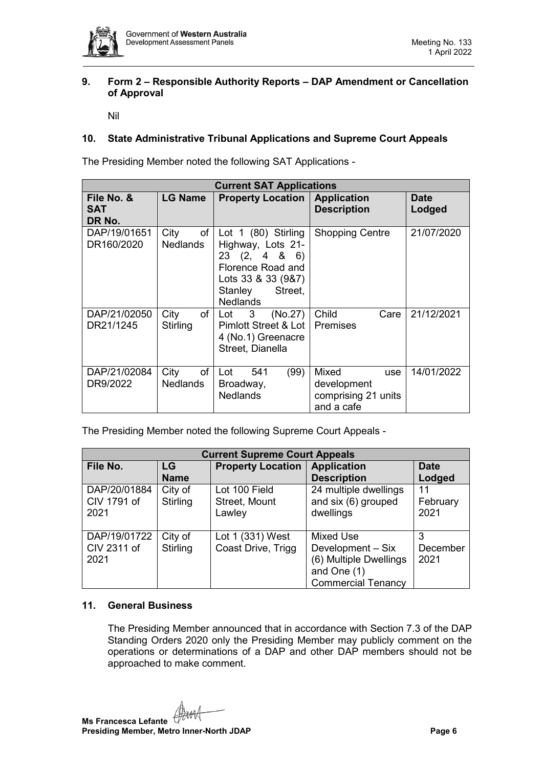

#### <span id="page-5-0"></span>**9. Form 2 – Responsible Authority Reports – DAP Amendment or Cancellation of Approval**

Nil

## <span id="page-5-2"></span><span id="page-5-1"></span>**10. State Administrative Tribunal Applications and Supreme Court Appeals**

The Presiding Member noted the following SAT Applications -

| <b>Current SAT Applications</b>    |                               |                                                                                                                                            |                                                                  |                       |  |  |  |  |  |
|------------------------------------|-------------------------------|--------------------------------------------------------------------------------------------------------------------------------------------|------------------------------------------------------------------|-----------------------|--|--|--|--|--|
| File No. &<br><b>SAT</b><br>DR No. | <b>LG Name</b>                | <b>Property Location   Application</b>                                                                                                     | <b>Description</b>                                               | <b>Date</b><br>Lodged |  |  |  |  |  |
| DAP/19/01651<br>DR160/2020         | City<br>of<br>Nedlands        | Lot 1 (80) Stirling<br>Highway, Lots 21-<br>23(2, 486)<br>Florence Road and<br>Lots 33 & 33 (9&7)<br>Street,<br>Stanley<br><b>Nedlands</b> | <b>Shopping Centre</b>                                           | 21/07/2020            |  |  |  |  |  |
| DAP/21/02050<br>DR21/1245          | City<br>of<br>Stirling        | $\overline{\textbf{3}}$<br>(No.27)<br>Lot<br>Pimlott Street & Lot  <br>4 (No.1) Greenacre<br>Street, Dianella                              | Child<br>Care<br><b>Premises</b>                                 | 21/12/2021            |  |  |  |  |  |
| DAP/21/02084<br>DR9/2022           | of<br>City<br><b>Nedlands</b> | (99)<br>541<br>Lot<br>Broadway,<br><b>Nedlands</b>                                                                                         | Mixed<br>use<br>development<br>comprising 21 units<br>and a cafe | 14/01/2022            |  |  |  |  |  |

The Presiding Member noted the following Supreme Court Appeals -

| <b>Current Supreme Court Appeals</b> |             |                          |                           |             |  |  |  |  |  |
|--------------------------------------|-------------|--------------------------|---------------------------|-------------|--|--|--|--|--|
| File No.                             | LG          | <b>Property Location</b> | <b>Application</b>        | <b>Date</b> |  |  |  |  |  |
|                                      | <b>Name</b> |                          | <b>Description</b>        | Lodged      |  |  |  |  |  |
| DAP/20/01884                         | City of     | Lot 100 Field            | 24 multiple dwellings     | 11          |  |  |  |  |  |
| CIV 1791 of                          | Stirling    | Street, Mount            | and six (6) grouped       | February    |  |  |  |  |  |
| 2021                                 |             | Lawley                   | dwellings                 | 2021        |  |  |  |  |  |
|                                      |             |                          |                           |             |  |  |  |  |  |
| DAP/19/01722                         | City of     | Lot 1 (331) West         | Mixed Use                 | 3           |  |  |  |  |  |
| CIV 2311 of                          | Stirling    | Coast Drive, Trigg       | Development - Six         | December    |  |  |  |  |  |
| 2021                                 |             |                          | (6) Multiple Dwellings    | 2021        |  |  |  |  |  |
|                                      |             |                          | and One (1)               |             |  |  |  |  |  |
|                                      |             |                          | <b>Commercial Tenancy</b> |             |  |  |  |  |  |

#### <span id="page-5-3"></span>**11. General Business**

The Presiding Member announced that in accordance with Section 7.3 of the DAP Standing Orders 2020 only the Presiding Member may publicly comment on the operations or determinations of a DAP and other DAP members should not be approached to make comment.